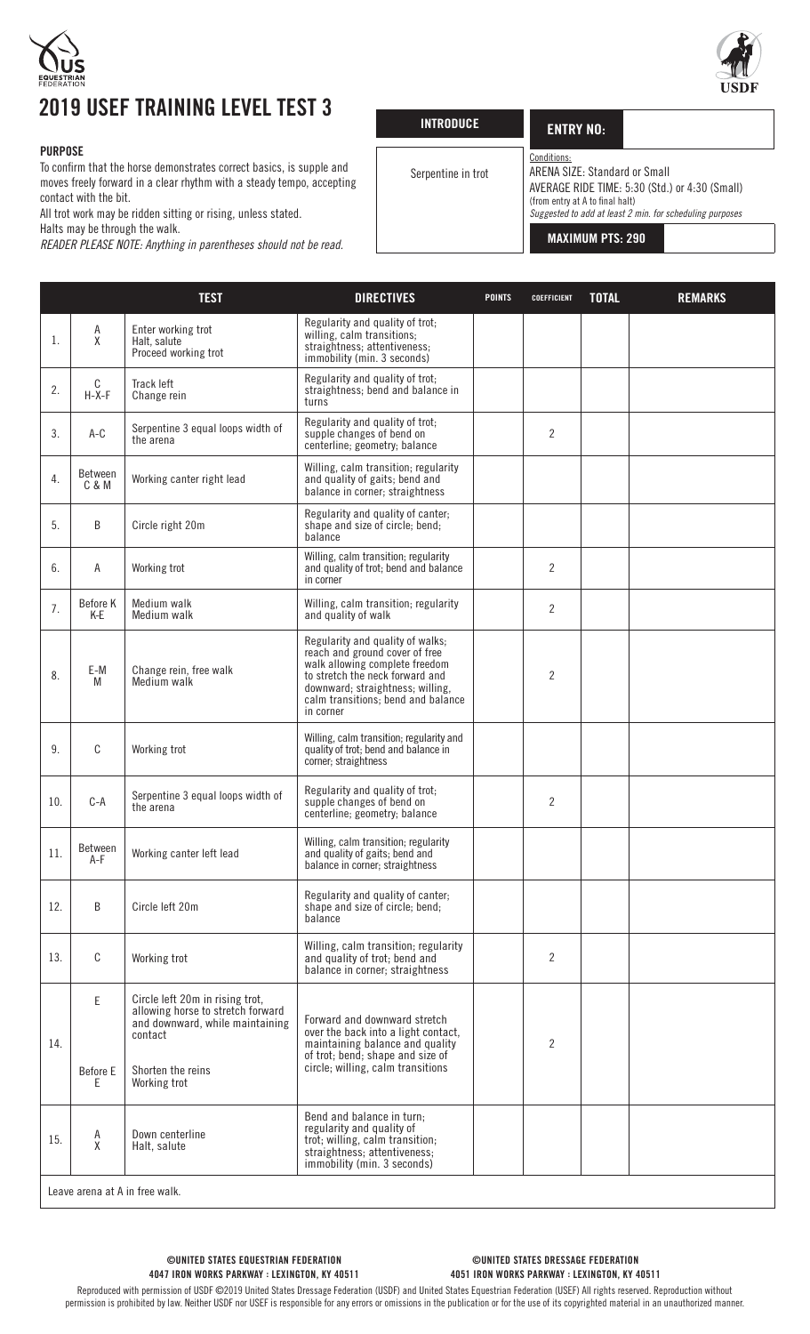



## 2019 USEF TRAINING LEVEL TEST 3

## PURPOSE

To confirm that the horse demonstrates correct basics, is supple and moves freely forward in a clear rhythm with a steady tempo, accepting contact with the bit.

All trot work may be ridden sitting or rising, unless stated.

Halts may be through the walk.

*READER PLEASE NOTE: Anything in parentheses should not be read.*

| <b>INTRODUCE</b>   | <b>ENTRY NO:</b>                                                                |                                                                                                            |
|--------------------|---------------------------------------------------------------------------------|------------------------------------------------------------------------------------------------------------|
| Serpentine in trot | Conditions:<br>ARENA SIZE: Standard or Small<br>(from entry at A to final halt) | AVERAGE RIDE TIME: 5:30 (Std.) or 4:30 (Small)<br>Suggested to add at least 2 min. for scheduling purposes |
|                    | <b>MAXIMUM PTS: 290</b>                                                         |                                                                                                            |

|     |                  | <b>TEST</b>                                                                                                        | <b>DIRECTIVES</b>                                                                                                                                                                                                              | <b>POINTS</b> | <b>COEFFICIENT</b> | <b>TOTAL</b> | <b>REMARKS</b> |
|-----|------------------|--------------------------------------------------------------------------------------------------------------------|--------------------------------------------------------------------------------------------------------------------------------------------------------------------------------------------------------------------------------|---------------|--------------------|--------------|----------------|
| 1.  | Α<br>χ           | Enter working trot<br>Halt, salute<br>Proceed working trot                                                         | Regularity and quality of trot;<br>willing, calm transitions;<br>straightness; attentiveness;<br>immobility (min. 3 seconds)                                                                                                   |               |                    |              |                |
| 2.  | C<br>$H-X-F$     | Track left<br>Change rein                                                                                          | Regularity and quality of trot;<br>straightness; bend and balance in<br>turns                                                                                                                                                  |               |                    |              |                |
| 3.  | $A-C$            | Serpentine 3 equal loops width of<br>the arena                                                                     | Regularity and quality of trot;<br>supple changes of bend on<br>centerline; geometry; balance                                                                                                                                  |               | 2                  |              |                |
| 4.  | Between<br>C & M | Working canter right lead                                                                                          | Willing, calm transition; regularity<br>and quality of gaits; bend and<br>balance in corner; straightness                                                                                                                      |               |                    |              |                |
| 5.  | B                | Circle right 20m                                                                                                   | Regularity and quality of canter;<br>shape and size of circle; bend;<br>balance                                                                                                                                                |               |                    |              |                |
| 6.  | Α                | Working trot                                                                                                       | Willing, calm transition; regularity<br>and quality of trot; bend and balance<br>in corner                                                                                                                                     |               | $\overline{2}$     |              |                |
| 7.  | Before K<br>K-E  | Medium walk<br>Medium walk                                                                                         | Willing, calm transition; regularity<br>and quality of walk                                                                                                                                                                    |               | $\overline{2}$     |              |                |
| 8.  | E-M<br>M         | Change rein, free walk<br>Medium walk                                                                              | Regularity and quality of walks;<br>reach and ground cover of free<br>walk allowing complete freedom<br>to stretch the neck forward and<br>downward; straightness; willing,<br>calm transitions; bend and balance<br>in corner |               | 2                  |              |                |
| 9.  | C                | Working trot                                                                                                       | Willing, calm transition; regularity and<br>quality of trot; bend and balance in<br>corner; straightness                                                                                                                       |               |                    |              |                |
| 10. | $C-A$            | Serpentine 3 equal loops width of<br>the arena                                                                     | Regularity and quality of trot;<br>supple changes of bend on<br>centerline; geometry; balance                                                                                                                                  |               | $\overline{2}$     |              |                |
| 11. | Between<br>$A-F$ | Working canter left lead                                                                                           | Willing, calm transition; regularity<br>and quality of gaits; bend and<br>balance in corner; straightness                                                                                                                      |               |                    |              |                |
| 12. | B                | Circle left 20m                                                                                                    | Regularity and quality of canter;<br>shape and size of circle; bend;<br>balance                                                                                                                                                |               |                    |              |                |
| 13. | C                | Working trot                                                                                                       | Willing, calm transition; regularity<br>and quality of trot; bend and<br>balance in corner; straightness                                                                                                                       |               | 2                  |              |                |
| 14. | E.               | Circle left 20m in rising trot,<br>allowing horse to stretch forward<br>and downward, while maintaining<br>contact | Forward and downward stretch<br>over the back into a light contact,<br>maintaining balance and quality<br>of trot; bend; shape and size of                                                                                     |               | $\overline{2}$     |              |                |
|     | Before E<br>Ε    | Shorten the reins<br>Working trot                                                                                  | circle, willing, calm transitions                                                                                                                                                                                              |               |                    |              |                |
| 15. | A<br>X           | Down centerline<br>Halt, salute                                                                                    | Bend and balance in turn;<br>regularity and quality of<br>trot; willing, calm transition;<br>straightness; attentiveness;<br>immobility (min. 3 seconds)                                                                       |               |                    |              |                |
|     |                  | Leave arena at A in free walk.                                                                                     |                                                                                                                                                                                                                                |               |                    |              |                |

©UNITED STATES DRESSAGE FEDERATION 4051 IRON WORKS PARKWAY : LEXINGTON, KY 40511

Reproduced with permission of USDF ©2019 United States Dressage Federation (USDF) and United States Equestrian Federation (USEF) All rights reserved. Reproduction without permission is prohibited by law. Neither USDF nor USEF is responsible for any errors or omissions in the publication or for the use of its copyrighted material in an unauthorized manner.